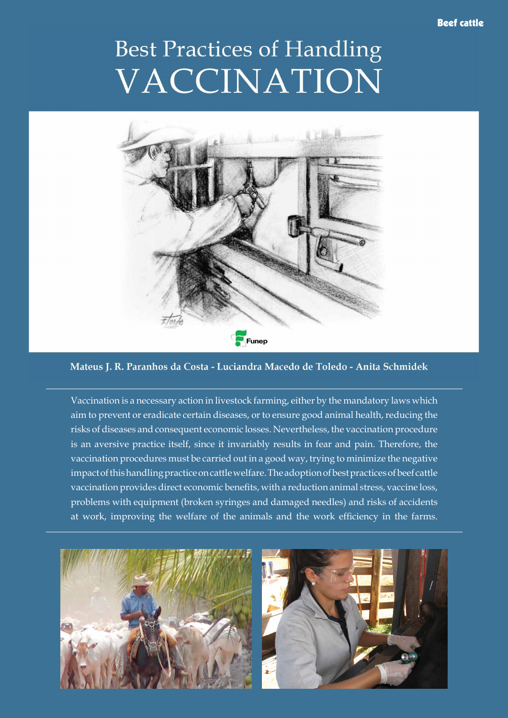## Beef cattle

## **Best Practices of Handling** VACCINATION



Mateus J. R. Paranhos da Costa - Luciandra Macedo de Toledo - Anita Schmidek

Vaccination is a necessary action in livestock farming, either by the mandatory laws which aim to prevent or eradicate certain diseases, or to ensure good animal health, reducing the risks of diseases and consequent economic losses. Nevertheless, the vaccination procedure is an aversive practice itself, since it invariably results in fear and pain. Therefore, the vaccination procedures must be carried out in a good way, trying to minimize the negative impact of this handling practice on cattle welfare. The adoption of best practices of beef cattle vaccination provides direct economic benefits, with a reduction animal stress, vaccine loss, problems with equipment (broken syringes and damaged needles) and risks of accidents at work, improving the welfare of the animals and the work efficiency in the farms.